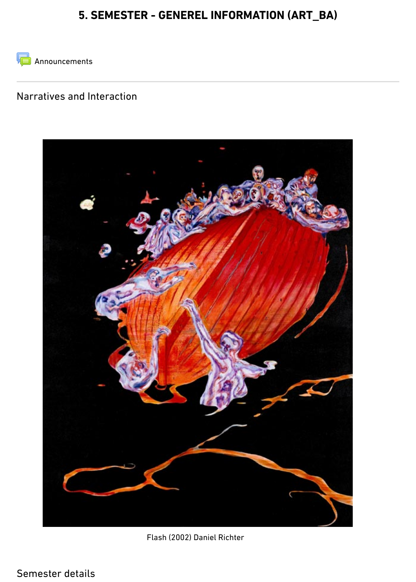# **5. SEMESTER - GENEREL INFORMATION (ART\_BA)**



# Narratives and Interaction



Flash (2002) Daniel Richter

Semester details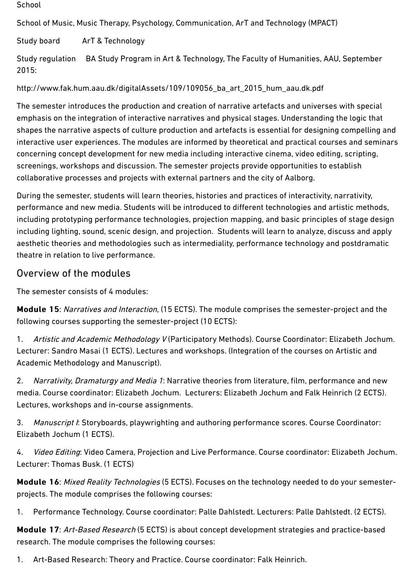**School** 

School of Music, Music Therapy, Psychology, Communication, ArT and Technology (MPACT)

Study board ArT & Technology

Study regulation BA Study Program in Art & Technology, The Faculty of Humanities, AAU, September 2015:

[http://www.fak.hum.aau.dk/digitalAssets/109/109056\\_ba\\_art\\_2015\\_hum\\_aau.dk.pdf](http://www.fak.hum.aau.dk/digitalAssets/109/109056_ba_art_2015_hum_aau.dk.pdf)

The semester introduces the production and creation of narrative artefacts and universes with special emphasis on the integration of interactive narratives and physical stages. Understanding the logic that shapes the narrative aspects of culture production and artefacts is essential for designing compelling and interactive user experiences. The modules are informed by theoretical and practical courses and seminars concerning concept development for new media including interactive cinema, video editing, scripting, screenings, workshops and discussion. The semester projects provide opportunities to establish collaborative processes and projects with external partners and the city of Aalborg.

During the semester, students will learn theories, histories and practices of interactivity, narrativity, performance and new media. Students will be introduced to different technologies and artistic methods, including prototyping performance technologies, projection mapping, and basic principles of stage design including lighting, sound, scenic design, and projection. Students will learn to analyze, discuss and apply aesthetic theories and methodologies such as intermediality, performance technology and postdramatic theatre in relation to live performance.

# Overview of the modules

The semester consists of 4 modules:

Module 15: Narratives and Interaction, (15 ECTS). The module comprises the semester-project and the following courses supporting the semester-project (10 ECTS):

1. Artistic and Academic Methodology V (Participatory Methods). Course Coordinator: Elizabeth Jochum. Lecturer: Sandro Masai (1 ECTS). Lectures and workshops. (Integration of the courses on Artistic and Academic Methodology and Manuscript).

2. Narrativity, Dramaturgy and Media 1: Narrative theories from literature, film, performance and new media. Course coordinator: Elizabeth Jochum. Lecturers: Elizabeth Jochum and Falk Heinrich (2 ECTS). Lectures, workshops and in-course assignments.

3. Manuscript I: Storyboards, playwrighting and authoring performance scores. Course Coordinator: Elizabeth Jochum (1 ECTS).

4. *Video Editing*: Video Camera, Projection and Live Performance. Course coordinator: Elizabeth Jochum. Lecturer: Thomas Busk. (1 ECTS)

Module 16: Mixed Reality Technologies (5 ECTS). Focuses on the technology needed to do your semesterprojects. The module comprises the following courses:

1. Performance Technology. Course coordinator: Palle Dahlstedt. Lecturers: Palle Dahlstedt. (2 ECTS).

Module 17: Art-Based Research (5 ECTS) is about concept development strategies and practice-based research. The module comprises the following courses:

1. Art-Based Research: Theory and Practice. Course coordinator: Falk Heinrich.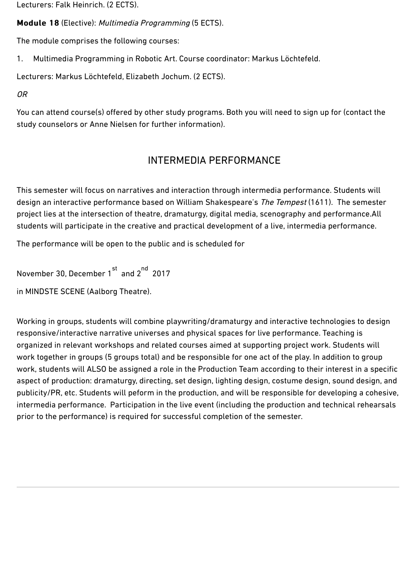Lecturers: Falk Heinrich. (2 ECTS).

Module 18 (Elective): Multimedia Programming (5 ECTS).

The module comprises the following courses:

1. Multimedia Programming in Robotic Art. Course coordinator: Markus Löchtefeld.

Lecturers: Markus Löchtefeld, Elizabeth Jochum. (2 ECTS).

OR

You can attend course(s) offered by other study programs. Both you will need to sign up for (contact the study counselors or Anne Nielsen for further information).

# INTERMEDIA PERFORMANCE

This semester will focus on narratives and interaction through intermedia performance. Students will design an interactive performance based on William Shakespeare's The Tempest (1611). The semester project lies at the intersection of theatre, dramaturgy, digital media, scenography and performance.All students will participate in the creative and practical development of a live, intermedia performance.

The performance will be open to the public and is scheduled for

November 30, December 1<sup>st</sup> and 2<sup>nd</sup> 2017

in MINDSTE SCENE (Aalborg Theatre).

Working in groups, students will combine playwriting/dramaturgy and interactive technologies to design responsive/interactive narrative universes and physical spaces for live performance. Teaching is organized in relevant workshops and related courses aimed at supporting project work. Students will work together in groups (5 groups total) and be responsible for one act of the play. In addition to group work, students will ALSO be assigned a role in the Production Team according to their interest in a specific aspect of production: dramaturgy, directing, set design, lighting design, costume design, sound design, and publicity/PR, etc. Students will peform in the production, and will be responsible for developing a cohesive, intermedia performance. Participation in the live event (including the production and technical rehearsals prior to the performance) is required for successful completion of the semester.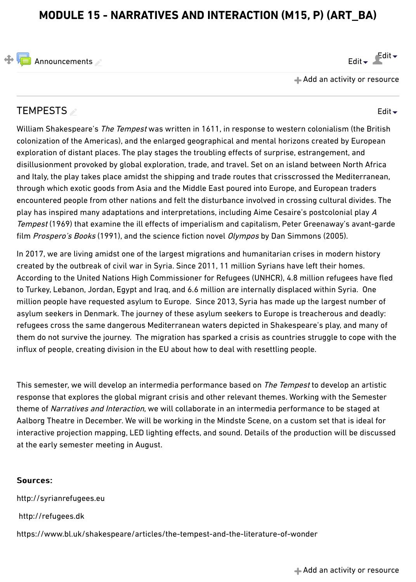# **MODULE 15 - NARRATIVES AND INTERACTION (M15, P) (ART\_BA)**

 $\bigoplus$  [Announcements](https://www.moodle.aau.dk/mod/forum/view.php?id=624028)

[Add an activity or resource](https://www.moodle.aau.dk/course/view.php?id=22152#)

# TEMPESTS

William Shakespeare's The Tempest was written in 1611, in response to western colonialism (the British colonization of the Americas), and the enlarged geographical and mental horizons created by European exploration of distant places. The play stages the troubling effects of surprise, estrangement, and disillusionment provoked by global exploration, trade, and travel. Set on an island between North Africa and Italy, the play takes place amidst the shipping and trade routes that crisscrossed the Mediterranean, through which exotic goods from Asia and the Middle East poured into Europe, and European traders encountered people from other nations and felt the disturbance involved in crossing cultural divides. The play has inspired many adaptations and interpretations, including Aime Cesaire's postcolonial play <sup>A</sup> Tempest (1969) that examine the ill effects of imperialism and capitalism, Peter Greenaway's avant-garde film Prospero's Books (1991), and the science fiction novel Olympos by Dan Simmons (2005).

In 2017, we are living amidst one of the largest migrations and humanitarian crises in modern history created by the outbreak of civil war in Syria. Since 2011, 11 million Syrians have left their homes. According to the United Nations High Commissioner for Refugees (UNHCR), 4.8 million refugees have fled to Turkey, Lebanon, Jordan, Egypt and Iraq, and 6.6 million are internally displaced within Syria. One million people have requested asylum to Europe. Since 2013, Syria has made up the largest number of asylum seekers in Denmark. The journey of these asylum seekers to Europe is treacherous and deadly: refugees cross the same dangerous Mediterranean waters depicted in Shakespeare's play, and many of them do not survive the journey. The migration has sparked a crisis as countries struggle to cope with the influx of people, creating division in the EU about how to deal with resettling people.

This semester, we will develop an intermedia performance based on The Tempest to develop an artistic response that explores the global migrant crisis and other relevant themes. Working with the Semester theme of Narratives and Interaction, we will collaborate in an intermedia performance to be staged at Aalborg Theatre in December. We will be working in the Mindste Scene, on a custom set that is ideal for interactive projection mapping, LED lighting effects, and sound. Details of the production will be discussed at the early semester meeting in August.

#### Sources:

[http://syrianrefugees.eu](http://syrianrefugees.eu/) [http://refugees.dk](http://refugees.dk/) <https://www.bl.uk/shakespeare/articles/the-tempest-and-the-literature-of-wonder>



[Edit](https://www.moodle.aau.dk/course/view.php?id=22152#)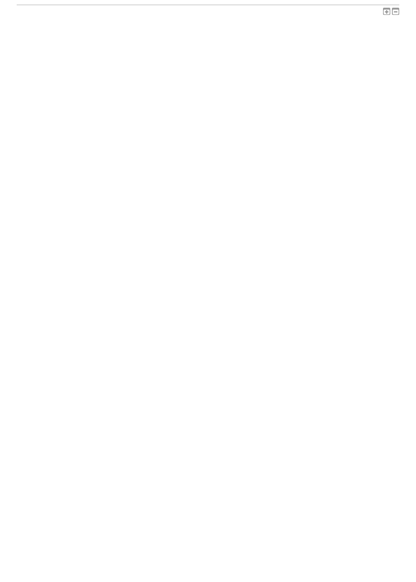$\overline{\mathbf{G}}$  $\overline{\mathbf{G}}$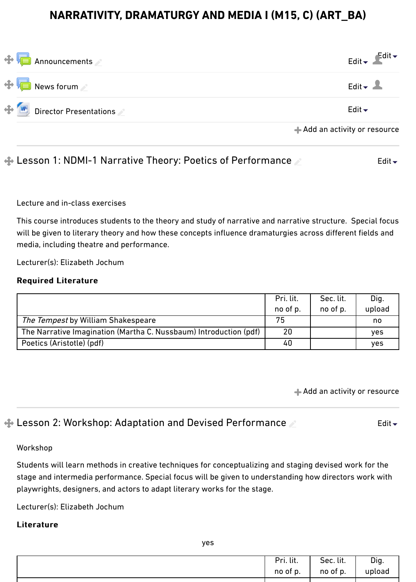# **NARRATIVITY, DRAMATURGY AND MEDIA I (M15, C) (ART\_BA)**



| $\clubsuit$ Lesson 1: NDMI-1 Narrative Theory: Poetics of Performance $\nearrow$ | Edit $\blacktriangleright$ |
|----------------------------------------------------------------------------------|----------------------------|
|                                                                                  |                            |

Lecture and in-class exercises

This course introduces students to the theory and study of narrative and narrative structure. Special focus will be given to literary theory and how these concepts influence dramaturgies across different fields and media, including theatre and performance.

Lecturer(s): Elizabeth Jochum

#### **Required Literature**

|                                                                   | Pri. lit. | Sec. lit. | Dig.   |
|-------------------------------------------------------------------|-----------|-----------|--------|
|                                                                   | no of p.  | no of p.  | upload |
| The Tempest by William Shakespeare                                | 75        |           | no     |
| The Narrative Imagination (Martha C. Nussbaum) Introduction (pdf) | 20        |           | yes    |
| Poetics (Aristotle) (pdf)                                         | 40        |           | yes    |

[Add an activity or resource](https://www.moodle.aau.dk/course/view.php?id=22151#)

[Edit](https://www.moodle.aau.dk/course/view.php?id=22151#) $\div$ 

# $\bigoplus$  Lesson 2: Workshop: Adaptation and Devised Performance

Workshop

Students will learn methods in creative techniques for conceptualizing and staging devised work for the stage and intermedia performance. Special focus will be given to understanding how directors work with playwrights, designers, and actors to adapt literary works for the stage.

Lecturer(s): Elizabeth Jochum

#### Literature

yes

| ri. lit.<br>Dri: | Sec. lit. | <b>Dig</b> |
|------------------|-----------|------------|
| no of p.         | no of p.  | upload     |
|                  |           |            |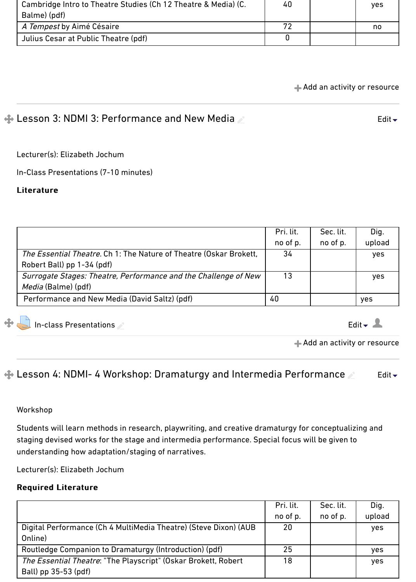| Cambridge Intro to Theatre Studies (Ch 12 Theatre & Media) (C. | 40  | <b>ves</b> |
|----------------------------------------------------------------|-----|------------|
| Balme) (pdf)                                                   |     |            |
| A Tempest by Aimé Césaire                                      | ר י | no         |
| Julius Cesar at Public Theatre (pdf)                           |     |            |

[Add an activity or resource](https://www.moodle.aau.dk/course/view.php?id=22151#)

# **Lesson 3: NDMI 3: Performance and New Media**

Lecturer(s): Elizabeth Jochum

In-Class Presentations (7-10 minutes)

#### Literature

|                                                                           | Pri. lit. | Sec. lit. | Dig.   |
|---------------------------------------------------------------------------|-----------|-----------|--------|
|                                                                           | no of p.  | no of p.  | upload |
| <i>The Essential Theatre.</i> Ch 1: The Nature of Theatre (Oskar Brokett, | 34        |           | yes    |
| Robert Ball) pp 1-34 (pdf)                                                |           |           |        |
| Surrogate Stages: Theatre, Performance and the Challenge of New           | 13        |           | yes    |
| <i>Media</i> (Balme) (pdf)                                                |           |           |        |
| Performance and New Media (David Saltz) (pdf)                             | 40        |           | yes    |

[In-class Presentations](https://www.moodle.aau.dk/mod/assign/view.php?id=649445)  $\sim$ 

[Add an activity or resource](https://www.moodle.aau.dk/course/view.php?id=22151#)

#### $\bigoplus$  Lesson 4: NDMI- 4 Workshop: Dramaturgy and Intermedia Performance [Edit](https://www.moodle.aau.dk/course/view.php?id=22151#)  $\overline{\phantom{a}}$

Workshop

Students will learn methods in research, playwriting, and creative dramaturgy for conceptualizing and staging devised works for the stage and intermedia performance. Special focus will be given to understanding how adaptation/staging of narratives.

Lecturer(s): Elizabeth Jochum

#### **Required Literature**

|                                                                  | Pri. lit. | Sec. lit. | Dig.   |
|------------------------------------------------------------------|-----------|-----------|--------|
|                                                                  | no of p.  | no of p.  | upload |
| Digital Performance (Ch 4 MultiMedia Theatre) (Steve Dixon) (AUB | 20        |           | yes    |
| Online)                                                          |           |           |        |
| Routledge Companion to Dramaturgy (Introduction) (pdf)           | 25        |           | yes    |
| The Essential Theatre: "The Playscript" (Oskar Brokett, Robert   | 18        |           | yes    |
| Ball) pp 35-53 (pdf)                                             |           |           |        |

[Edit](https://www.moodle.aau.dk/course/view.php?id=22151#)  $\blacktriangleright$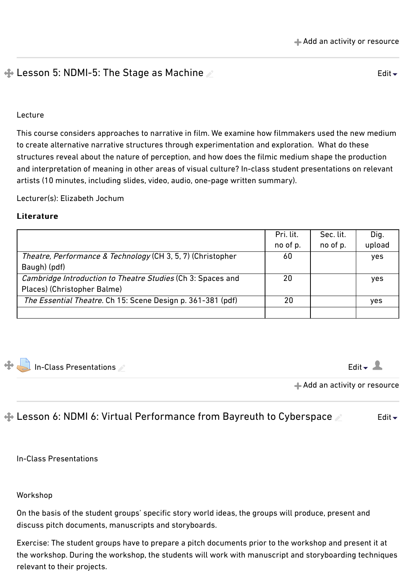# $\bigoplus$  Lesson 5: NDMI-5: The Stage as Machine

[Edit](https://www.moodle.aau.dk/course/view.php?id=22151#)

#### Lecture

This course considers approaches to narrative in film. We examine how filmmakers used the new medium to create alternative narrative structures through experimentation and exploration. What do these structures reveal about the nature of perception, and how does the filmic medium shape the production and interpretation of meaning in other areas of visual culture? In-class student presentations on relevant artists (10 minutes, including slides, video, audio, one-page written summary).

Lecturer(s): Elizabeth Jochum

#### Literature

|                                                             | Pri. lit. | Sec. lit. | Dig.   |
|-------------------------------------------------------------|-----------|-----------|--------|
|                                                             | no of p.  | no of p.  | upload |
| Theatre, Performance & Technology (CH 3, 5, 7) (Christopher | 60        |           | yes    |
| Baugh) (pdf)                                                |           |           |        |
| Cambridge Introduction to Theatre Studies (Ch 3: Spaces and | 20        |           | yes    |
| Places) (Christopher Balme)                                 |           |           |        |
| The Essential Theatre. Ch 15: Scene Design p. 361-381 (pdf) | 20        |           | yes    |
|                                                             |           |           |        |

 $\Box$  [In-Class Presentations](https://www.moodle.aau.dk/mod/assign/view.php?id=649446)  $\Box$  [Edit](https://www.moodle.aau.dk/course/view.php?id=22151#) $\Box$ 

[Add an activity or resource](https://www.moodle.aau.dk/course/view.php?id=22151#)

#### $\bigoplus$  Lesson 6: NDMI 6: Virtual Performance from Bayreuth to Cyberspace [Edit](https://www.moodle.aau.dk/course/view.php?id=22151#)

In-Class Presentations

Workshop

On the basis of the student groups' specific story world ideas, the groups will produce, present and discuss pitch documents, manuscripts and storyboards.

Exercise: The student groups have to prepare a pitch documents prior to the workshop and present it at the workshop. During the workshop, the students will work with manuscript and storyboarding techniques relevant to their projects.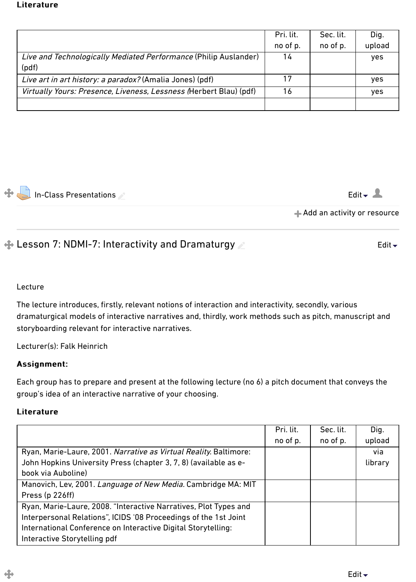#### Literature

|                                                                    | Pri. lit. | Sec. lit. | Dig.   |
|--------------------------------------------------------------------|-----------|-----------|--------|
|                                                                    | no of p.  | no of p.  | upload |
| Live and Technologically Mediated Performance (Philip Auslander)   | 14        |           | yes    |
| (pdf)                                                              |           |           |        |
| Live art in art history: a paradox? (Amalia Jones) (pdf)           |           |           | yes    |
| Virtually Yours: Presence, Liveness, Lessness (Herbert Blau) (pdf) | 16        |           | yes    |
|                                                                    |           |           |        |

[In-Class Presentations](https://www.moodle.aau.dk/mod/assign/view.php?id=649447)  $\blacksquare$ 

[Add an activity or resource](https://www.moodle.aau.dk/course/view.php?id=22151#)

[Edit](https://www.moodle.aau.dk/course/view.php?id=22151#) $\div$ 

# $\triangle$  Lesson 7: NDMI-7: Interactivity and Dramaturgy

#### Lecture

The lecture introduces, firstly, relevant notions of interaction and interactivity, secondly, various dramaturgical models of interactive narratives and, thirdly, work methods such as pitch, manuscript and storyboarding relevant for interactive narratives.

Lecturer(s): Falk Heinrich

## Assignment: Assignment:

Each group has to prepare and present at the following lecture (no 6) a pitch document that conveys the group's idea of an interactive narrative of your choosing.

## Literature

|                                                                   | Pri. lit. | Sec. lit. | Dig.    |
|-------------------------------------------------------------------|-----------|-----------|---------|
|                                                                   | no of p.  | no of p.  | upload  |
| Ryan, Marie-Laure, 2001. Narrative as Virtual Reality. Baltimore: |           |           | via     |
| John Hopkins University Press (chapter 3, 7, 8) (available as e-  |           |           | library |
| book via Auboline)                                                |           |           |         |
| Manovich, Lev, 2001. Language of New Media. Cambridge MA: MIT     |           |           |         |
| Press (p 226ff)                                                   |           |           |         |
| Ryan, Marie-Laure, 2008. "Interactive Narratives, Plot Types and  |           |           |         |
| Interpersonal Relations", ICIDS '08 Proceedings of the 1st Joint  |           |           |         |
| International Conference on Interactive Digital Storytelling:     |           |           |         |
| Interactive Storytelling pdf                                      |           |           |         |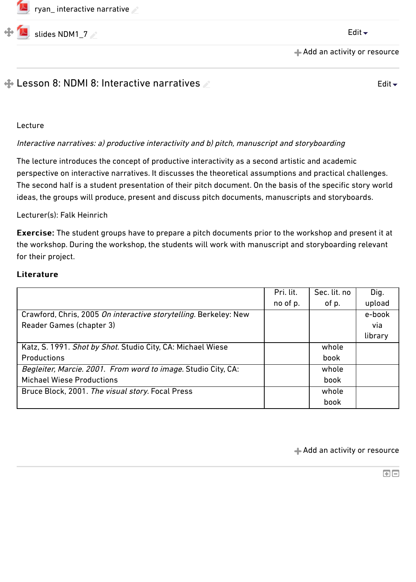



[Add an activity or resource](https://www.moodle.aau.dk/course/view.php?id=22151#)

# $\bigoplus$  Lesson 8: NDMI 8: Interactive narratives

[Edit](https://www.moodle.aau.dk/course/view.php?id=22151#)

#### Lecture

## Interactive narratives: a) productive interactivity and b) pitch, manuscript and storyboarding

The lecture introduces the concept of productive interactivity as a second artistic and academic perspective on interactive narratives. It discusses the theoretical assumptions and practical challenges. The second half is a student presentation of their pitch document. On the basis of the specific story world ideas, the groups will produce, present and discuss pitch documents, manuscripts and storyboards.

#### Lecturer(s): Falk Heinrich

Exercise: Exercise: The student groups have to prepare a pitch documents prior to the workshop and present it at the workshop. During the workshop, the students will work with manuscript and storyboarding relevant for their project.

#### Literature

|                                                                  | Pri. lit. | Sec. lit. no | Dig.    |
|------------------------------------------------------------------|-----------|--------------|---------|
|                                                                  | no of p.  | of p.        | upload  |
| Crawford, Chris, 2005 On interactive storytelling. Berkeley: New |           |              | e-book  |
| <b>Reader Games (chapter 3)</b>                                  |           |              | via     |
|                                                                  |           |              | library |
| Katz, S. 1991. Shot by Shot. Studio City, CA: Michael Wiese      |           | whole        |         |
| Productions                                                      |           | book         |         |
| Begleiter, Marcie. 2001. From word to image. Studio City, CA:    |           | whole        |         |
| <b>Michael Wiese Productions</b>                                 |           | book         |         |
| Bruce Block, 2001. The visual story. Focal Press                 |           | whole        |         |
|                                                                  |           | book         |         |

[Add an activity or resource](https://www.moodle.aau.dk/course/view.php?id=22151#)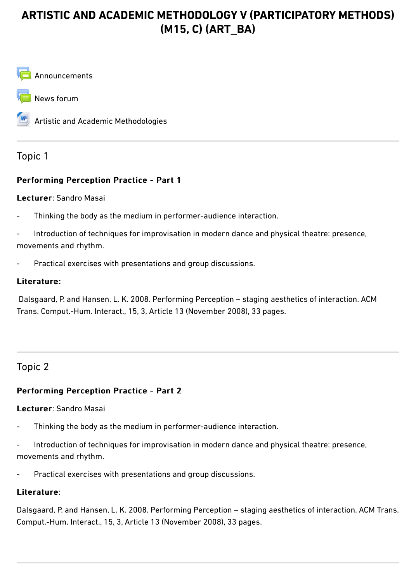# **ARTISTIC AND ACADEMIC METHODOLOGY V (PARTICIPATORY METHODS) (M15, C) (ART\_BA)**



[News forum](https://www.moodle.aau.dk/mod/forum/view.php?id=649450)

[Artistic and Academic Methodologies](https://www.moodle.aau.dk/mod/resource/view.php?id=650335)

# Topic 1

# Performing Perception Practice - Part 1

## Lecturer: Sandro Masai

Thinking the body as the medium in performer-audience interaction.

Introduction of techniques for improvisation in modern dance and physical theatre: presence, movements and rhythm.

Practical exercises with presentations and group discussions.

## Literature:

 Dalsgaard, P. and Hansen, L. K. 2008. Performing Perception – staging aesthetics of interaction. ACM Trans. Comput.-Hum. Interact., 15, 3, Article 13 (November 2008), 33 pages.

# Topic 2

## Performing Perception Practice - Part 2

## Lecturer: Sandro Masai

- Thinking the body as the medium in performer-audience interaction.
- Introduction of techniques for improvisation in modern dance and physical theatre: presence, movements and rhythm.
- Practical exercises with presentations and group discussions.

## Literature:

Dalsgaard, P. and Hansen, L. K. 2008. Performing Perception – staging aesthetics of interaction. ACM Trans. Comput.-Hum. Interact., 15, 3, Article 13 (November 2008), 33 pages.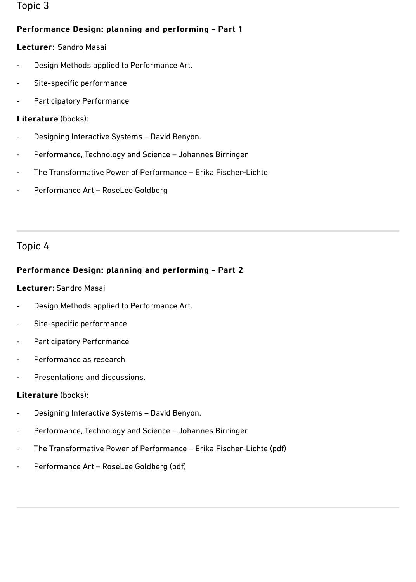# Topic 3

## Performance Design: planning and performing - Part 1

## Lecturer: Sandro Masai

- Design Methods applied to Performance Art.
- Site-specific performance
- Participatory Performance

## Literature (books):

- Designing Interactive Systems David Benyon.
- Performance, Technology and Science Johannes Birringer
- The Transformative Power of Performance Erika Fischer-Lichte
- Performance Art RoseLee Goldberg

# Topic 4

# Performance Design: planning and performing - Part 2

## Lecturer: Sandro Masai

- Design Methods applied to Performance Art.
- Site-specific performance
- Participatory Performance
- Performance as research
- Presentations and discussions.

## Literature (books):

- Designing Interactive Systems David Benyon.
- Performance, Technology and Science Johannes Birringer
- The Transformative Power of Performance Erika Fischer-Lichte [\(pdf\)](https://www.moodle.aau.dk/pluginfile.php/972420/course/section/326003/Fischer-Lichte.TransformativePowerofPerformance.pdf)
- Performance Art RoseLee Goldberg (pdf)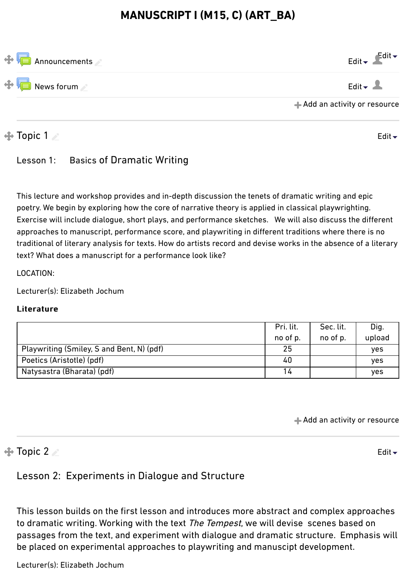# **MANUSCRIPT I (M15, C) (ART\_BA)**

| Edit $\overline{\phantom{a}}$ Edit $\overline{\phantom{a}}$ |
|-------------------------------------------------------------|
| Edit $\blacktriangleright$ $\blacktriangleright$            |
| Add an activity or resource                                 |
|                                                             |

 $\bigoplus$  Topic 1

[Edit](https://www.moodle.aau.dk/course/view.php?id=22150#)

# Lesson 1: Basics of Dramatic Writing

This lecture and workshop provides and in-depth discussion the tenets of dramatic writing and epic poetry. We begin by exploring how the core of narrative theory is applied in classical playwrighting. Exercise will include dialogue, short plays, and performance sketches. We will also discuss the different approaches to manuscript, performance score, and playwriting in different traditions where there is no traditional of literary analysis for texts. How do artists record and devise works in the absence of a literary text? What does a manuscript for a performance look like?

LOCATION:

Lecturer(s): Elizabeth Jochum

## Literature

|                                           | Pri. lit. | Sec. lit. | Dig.   |
|-------------------------------------------|-----------|-----------|--------|
|                                           | no of p.  | no of p.  | upload |
| Playwriting (Smiley, S and Bent, N) (pdf) | 25        |           | yes    |
| Poetics (Aristotle) (pdf)                 | 40        |           | yes    |
| Natysastra (Bharata) (pdf)                | 14        |           | yes    |

[Add an activity or resource](https://www.moodle.aau.dk/course/view.php?id=22150#)

 $\bigoplus$  Topic 2

[Edit](https://www.moodle.aau.dk/course/view.php?id=22150#)

# Lesson 2: Experiments in Dialogue and Structure

This lesson builds on the first lesson and introduces more abstract and complex approaches to dramatic writing. Working with the text The Tempest, we will devise scenes based on passages from the text, and experiment with dialogue and dramatic structure. Emphasis will be placed on experimental approaches to playwriting and manuscipt development.

Lecturer(s): Elizabeth Jochum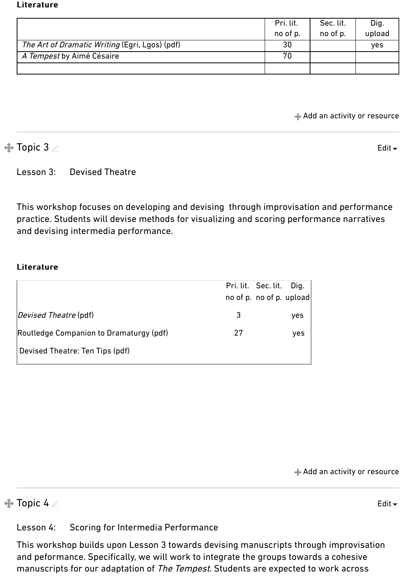#### **Literature**

|                                                       | Pri. lit. | Sec. lit. | Dig.       |
|-------------------------------------------------------|-----------|-----------|------------|
|                                                       | no of p.  | no of p.  | upload     |
| <i>The Art of Dramatic Writing</i> (Egri, Lgos) (pdf) | 30        |           | <b>ves</b> |
| A Tempest by Aimé Césaire                             | 70        |           |            |
|                                                       |           |           |            |

[Add an activity or resource](https://www.moodle.aau.dk/course/view.php?id=22150#)

 $\bigoplus$  Topic 3

[Edit](https://www.moodle.aau.dk/course/view.php?id=22150#)

Lesson 3: Devised Theatre

This workshop focuses on developing and devising through improvisation and performance practice. Students will devise methods for visualizing and scoring performance narratives and devising intermedia performance.

## Literature

|                                         |    | Pri. lit. Sec. lit. Dig. |
|-----------------------------------------|----|--------------------------|
|                                         |    | no of p. no of p. upload |
| <i>Devised Theatre</i> (pdf)            | 3  | yes                      |
| Routledge Companion to Dramaturgy (pdf) | 27 | yes                      |
| Devised Theatre: Ten Tips (pdf)         |    |                          |

[Add an activity or resource](https://www.moodle.aau.dk/course/view.php?id=22150#)

 $\bigoplus$  Topic 4

[Edit](https://www.moodle.aau.dk/course/view.php?id=22150#)

## Lesson 4: Scoring for Intermedia Performance

This workshop builds upon Lesson 3 towards devising manuscripts through improvisation and peformance. Specifically, we will work to integrate the groups towards a cohesive manuscripts for our adaptation of The Tempest. Students are expected to work across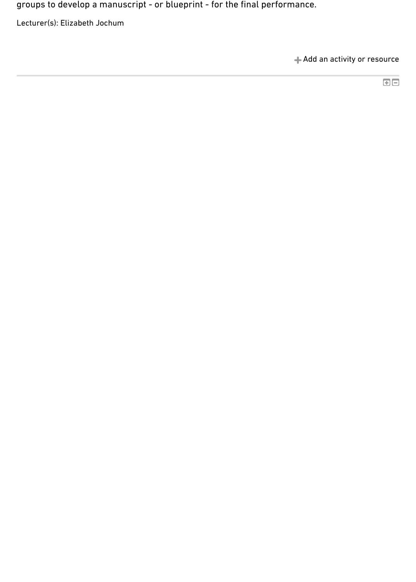groups to develop a manuscript - or blueprint - for the final performance.

Lecturer(s): Elizabeth Jochum

[Add an activity or resource](https://www.moodle.aau.dk/course/view.php?id=22150#)

 $\overline{E}$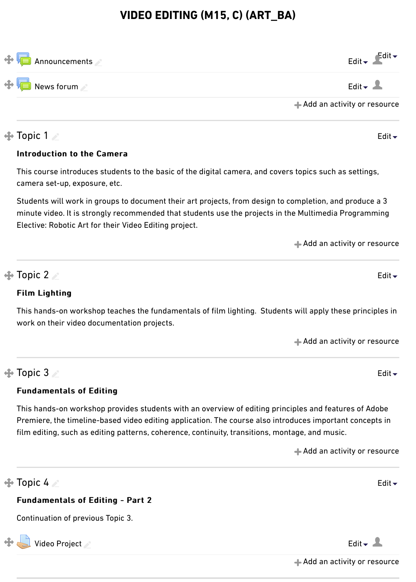# **VIDEO EDITING (M15, C) (ART\_BA)**



**← [Add an activity or resource](https://www.moodle.aau.dk/course/view.php?id=22149#)** 

[Edit](https://www.moodle.aau.dk/course/view.php?id=22149#)

 $\bigoplus$  Topic 4

## Fundamentals of Editing - Part 2

Continuation of previous Topic 3.



**← [Add an activity or resource](https://www.moodle.aau.dk/course/view.php?id=22149#)**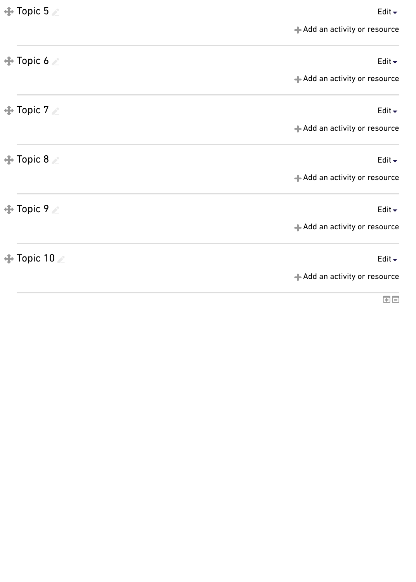| $\bigoplus$ Topic 5           | Edit $\blacktriangleright$  |
|-------------------------------|-----------------------------|
|                               | Add an activity or resource |
| $\bigoplus$ Topic 6           | Edit $\blacktriangleright$  |
|                               | Add an activity or resource |
| $\bigoplus$ Topic 7           | Edit $\blacktriangleright$  |
|                               | Add an activity or resource |
| $\bigoplus$ Topic 8           | Edit $\blacktriangleright$  |
|                               | Add an activity or resource |
| $\bigoplus$ Topic 9           | Edit $\blacktriangleright$  |
|                               | Add an activity or resource |
| $\bigoplus$ Topic 10 $\angle$ | Edit $\blacktriangleright$  |
|                               | Add an activity or resource |
|                               | $\boxplus$                  |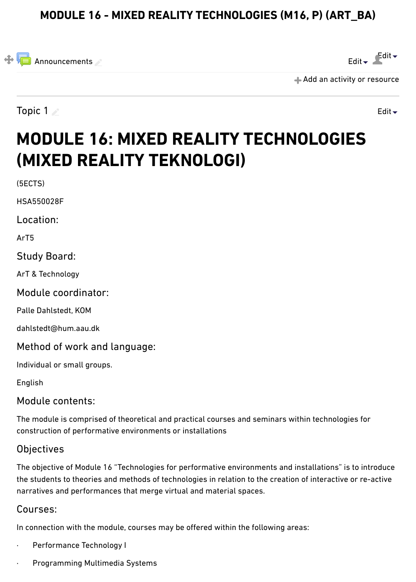# **MODULE 16 - MIXED REALITY TECHNOLOGIES (M16, P) (ART\_BA)**

[Announcements](https://www.moodle.aau.dk/mod/forum/view.php?id=650987)

[Add an activity or resource](https://www.moodle.aau.dk/course/view.php?id=22148#)

Topic 1

[Edit](https://www.moodle.aau.dk/course/view.php?id=22148#)  $\overline{\phantom{a}}$  Edit  $\overline{\phantom{a}}$ 

[Edit](https://www.moodle.aau.dk/course/view.php?id=22148#)

# **MODULE 16: MIXED REALITY TECHNOLOGIES (MIXED REALITY TEKNOLOGI)**

(5ECTS)

HSA550028F

Location:

ArT5

Study Board:

ArT & Technology

Module coordinator:

Palle Dahlstedt, KOM

[dahlstedt@hum.aau.dk](mailto:dahlstedt@hum.aau.dk)

Method of work and language:

Individual or small groups.

English

Module contents:

The module is comprised of theoretical and practical courses and seminars within technologies for construction of performative environments or installations

# **Objectives**

The objective of Module 16 "Technologies for performative environments and installations" is to introduce the students to theories and methods of technologies in relation to the creation of interactive or re-active narratives and performances that merge virtual and material spaces.

# Courses:

In connection with the module, courses may be offered within the following areas:

- Performance Technology I
- · Programming Multimedia Systems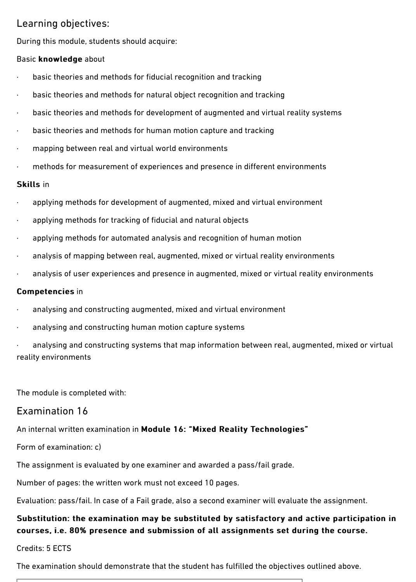# Learning objectives:

During this module, students should acquire:

## Basic knowledge about

- basic theories and methods for fiducial recognition and tracking
- · basic theories and methods for natural object recognition and tracking
- · basic theories and methods for development of augmented and virtual reality systems
- · basic theories and methods for human motion capture and tracking
- · mapping between real and virtual world environments
- methods for measurement of experiences and presence in different environments

#### Skills in

- · applying methods for development of augmented, mixed and virtual environment
- · applying methods for tracking of fiducial and natural objects
- applying methods for automated analysis and recognition of human motion
- analysis of mapping between real, augmented, mixed or virtual reality environments
- analysis of user experiences and presence in augmented, mixed or virtual reality environments

#### Competencies in

- · analysing and constructing augmented, mixed and virtual environment
- · analysing and constructing human motion capture systems
- analysing and constructing systems that map information between real, augmented, mixed or virtual reality environments

The module is completed with:

# Examination 16

An internal written examination in Module 16: "Mixed Reality Technologies"

Form of examination: c)

The assignment is evaluated by one examiner and awarded a pass/fail grade.

Number of pages: the written work must not exceed 10 pages.

Evaluation: pass/fail. In case of a Fail grade, also a second examiner will evaluate the assignment.

# Substitution: the examination may be substituted by satisfactory and active participation in courses, i.e. 80% presence and submission of all assignments set during the course.

Credits: 5 ECTS

The examination should demonstrate that the student has fulfilled the objectives outlined above.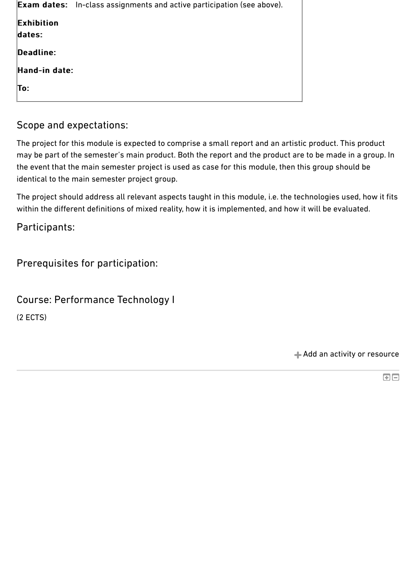|                      | <b>Exam dates:</b> In-class assignments and active participation (see above). |
|----------------------|-------------------------------------------------------------------------------|
| Exhibition<br>dates: |                                                                               |
| Deadline:            |                                                                               |
| Hand-in date:        |                                                                               |
| To:                  |                                                                               |

# Scope and expectations:

The project for this module is expected to comprise a small report and an artistic product. This product may be part of the semester's main product. Both the report and the product are to be made in a group. In the event that the main semester project is used as case for this module, then this group should be identical to the main semester project group.

The project should address all relevant aspects taught in this module, i.e. the technologies used, how it fits within the different definitions of mixed reality, how it is implemented, and how it will be evaluated.

Participants:

Prerequisites for participation:

Course: Performance Technology I (2 ECTS)

[Add an activity or resource](https://www.moodle.aau.dk/course/view.php?id=22148#)

oo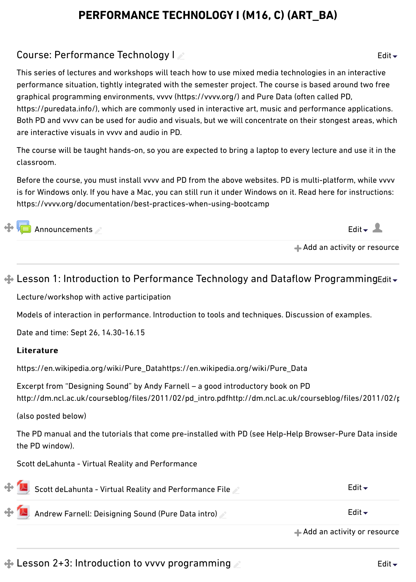# **PERFORMANCE TECHNOLOGY I (M16, C) (ART\_BA)**

# [Course: Performance Technology I](https://www.moodle.aau.dk/course/view.php?id=22147#)

This series of lectures and workshops will teach how to use mixed media technologies in an interactive performance situation, tightly integrated with the semester project. The course is based around two free graphical programming environments, vvvv (https://vvvv.org/) and Pure Data (often called PD, https://puredata.info/), which are commonly used in interactive art, music and performance applications. Both PD and vvvv can be used for audio and visuals, but we will concentrate on their stongest areas, which are interactive visuals in vvvv and audio in PD.

The course will be taught hands-on, so you are expected to bring a laptop to every lecture and use it in the classroom.

Before the course, you must install vvvv and PD from the above websites. PD is multi-platform, while vvvv is for Windows only. If you have a Mac, you can still run it under Windows on it. Read here for instructions: <https://vvvv.org/documentation/best-practices-when-using-bootcamp>

# [Announcements](https://www.moodle.aau.dk/mod/forum/view.php?id=624034)  $\blacksquare$

[Add an activity or resource](https://www.moodle.aau.dk/course/view.php?id=22147#)

# Lesson 1: Introduction to Performance Technology and Dataflow Programming[Edit](https://www.moodle.aau.dk/course/view.php?id=22147#)

Lecture/workshop with active participation

Models of interaction in performance. Introduction to tools and techniques. Discussion of examples.

Date and time: Sept 26, 14.30-16.15

#### Literature

[https://en.wikipedia.org/wiki/Pure\\_Datahttps://en.wikipedia.org/wiki/Pure\\_Data](https://en.wikipedia.org/wiki/Pure_Datahttps://en.wikipedia.org/wiki/Pure_Data)

Excerpt from "Designing Sound" by Andy Farnell – a good introductory book on PD [http://dm.ncl.ac.uk/courseblog/files/2011/02/pd\\_intro.pdfhttp://dm.ncl.ac.uk/courseblog/files/2011/02/p](http://dm.ncl.ac.uk/courseblog/files/2011/02/pd_intro.pdfhttp://dm.ncl.ac.uk/courseblog/files/2011/02/pd_intro.pdf)

(also posted below)

The PD manual and the tutorials that come pre-installed with PD (see Help-Help Browser-Pure Data inside the PD window).

Scott deLahunta - Virtual Reality and Performance

| $\blacktriangleright$ $\blacktriangleright$ Scott deLahunta - Virtual Reality and Performance File | Edit $\blacktriangleright$ |
|----------------------------------------------------------------------------------------------------|----------------------------|
|                                                                                                    |                            |



[Add an activity or resource](https://www.moodle.aau.dk/course/view.php?id=22147#)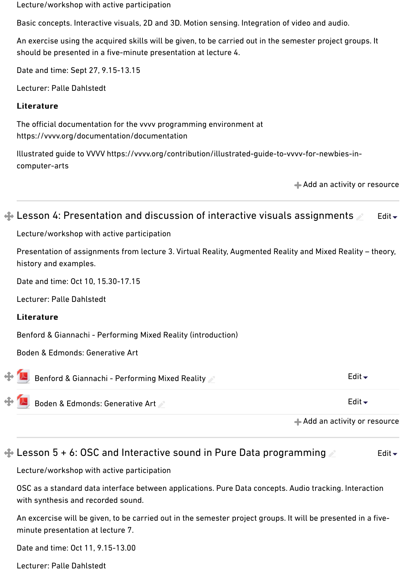Lecture/workshop with active participation Basic concepts. Interactive visuals, 2D and 3D. Motion sensing. Integration of video and audio. An exercise using the acquired skills will be given, to be carried out in the semester project groups. It should be presented in a five-minute presentation at lecture 4. Date and time: Sept 27, 9.15-13.15 Lecturer: Palle Dahlstedt Literature The official documentation for the vvvv programming environment at <https://vvvv.org/documentation/documentation> [Illustrated guide to VVVV https://vvvv.org/contribution/illustrated-guide-to-vvvv-for-newbies-in](https://vvvv.org/contribution/illustrated-guide-to-vvvv-for-newbies-in-computer-arts)computer-arts [Add an activity or resource](https://www.moodle.aau.dk/course/view.php?id=22147#)

#### $\bigoplus$  [Lesson 4: Presentation and discussion of interactive visuals assignments](https://www.moodle.aau.dk/course/view.php?id=22147#)  $\triangle$ [Edit](https://www.moodle.aau.dk/course/view.php?id=22147#)

Lecture/workshop with active participation

Presentation of assignments from lecture 3. Virtual Reality, Augmented Reality and Mixed Reality – theory, history and examples.

Date and time: Oct 10, 15.30-17.15

Lecturer: Palle Dahlstedt

#### Literature

Benford & Giannachi - Performing Mixed Reality (introduction)

Boden & Edmonds: Generative Art

[Benford & Giannachi - Performing Mixed Reality](https://www.moodle.aau.dk/mod/resource/view.php?id=661859)  $\color{blue}\bullet$  example of the South Section Section  $\color{blue}\bullet$  [Edit](https://www.moodle.aau.dk/course/view.php?id=22147#)  $\color{blue}\bullet$ 

[Boden & Edmonds: Generative Art](https://www.moodle.aau.dk/mod/resource/view.php?id=661860)  $\blacktriangleright$  Boden & [Edit](https://www.moodle.aau.dk/course/view.php?id=22147#)  $\blacktriangleright$ 

[Add an activity or resource](https://www.moodle.aau.dk/course/view.php?id=22147#)

#### $\bigoplus$  [Lesson 5 + 6: OSC and Interactive sound in Pure Data programming](https://www.moodle.aau.dk/course/view.php?id=22147#)  $\geq$ [Edit](https://www.moodle.aau.dk/course/view.php?id=22147#)

Lecture/workshop with active participation

OSC as a standard data interface between applications. Pure Data concepts. Audio tracking. Interaction with synthesis and recorded sound.

An excercise will be given, to be carried out in the semester project groups. It will be presented in a fiveminute presentation at lecture 7.

Date and time: Oct 11, 9.15-13.00

Lecturer: Palle Dahlstedt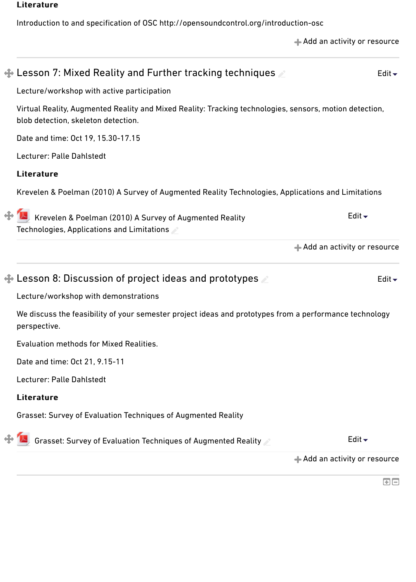## Literature

Introduction to and specification of OSC <http://opensoundcontrol.org/introduction-osc>

[Add an activity or resource](https://www.moodle.aau.dk/course/view.php?id=22147#)

| $\clubsuit$ Lesson 7: Mixed Reality and Further tracking techniques                                                                            | Edit $\blacktriangleright$              |
|------------------------------------------------------------------------------------------------------------------------------------------------|-----------------------------------------|
| Lecture/workshop with active participation                                                                                                     |                                         |
| Virtual Reality, Augmented Reality and Mixed Reality: Tracking technologies, sensors, motion detection,<br>blob detection, skeleton detection. |                                         |
| Date and time: Oct 19, 15.30-17.15                                                                                                             |                                         |
| Lecturer: Palle Dahlstedt                                                                                                                      |                                         |
| <b>Literature</b>                                                                                                                              |                                         |
| Krevelen & Poelman (2010) A Survey of Augmented Reality Technologies, Applications and Limitations                                             |                                         |
| Krevelen & Poelman (2010) A Survey of Augmented Reality<br>Technologies, Applications and Limitations $\mathcal{L}$                            | Edit $\blacktriangleright$              |
|                                                                                                                                                | $\triangle$ Add an activity or resource |
|                                                                                                                                                |                                         |
| $\bigoplus$ Lesson 8: Discussion of project ideas and prototypes $\triangle$                                                                   | Edit $\blacktriangleright$              |
| Lecture/workshop with demonstrations                                                                                                           |                                         |
| We discuss the feasibility of your semester project ideas and prototypes from a performance technology<br>perspective.                         |                                         |
| Evaluation methods for Mixed Realities.                                                                                                        |                                         |
| Date and time: Oct 21, 9.15-11                                                                                                                 |                                         |
| Lecturer: Palle Dahlstedt                                                                                                                      |                                         |
| <b>Literature</b>                                                                                                                              |                                         |
| <b>Grasset: Survey of Evaluation Techniques of Augmented Reality</b>                                                                           |                                         |
| <b>Grasset: Survey of Evaluation Techniques of Augmented Reality</b>                                                                           | Edit $\blacktriangleright$              |

 $\color{red} \blacksquare \color{red} \blacksquare$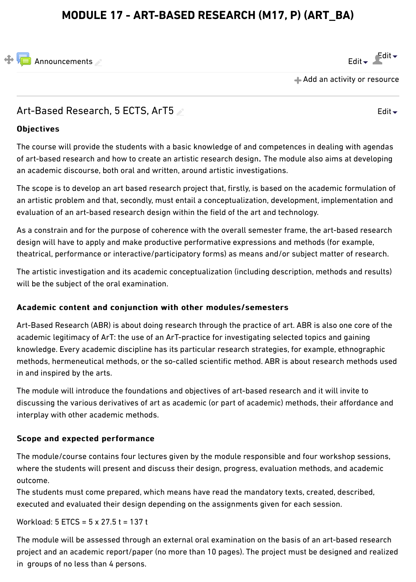# **MODULE 17 - ART-BASED RESEARCH (M17, P) (ART\_BA)**

[Add an activity or resource](https://www.moodle.aau.dk/course/view.php?id=22145#)

# [Art-Based Research, 5 ECTS, ArT5](https://www.moodle.aau.dk/course/view.php?id=22145#)

## **Objectives**

The course will provide the students with a basic knowledge of and competences in dealing with agendas of art-based research and how to create an artistic research design. The module also aims at developing an academic discourse, both oral and written, around artistic investigations.

The scope is to develop an art based research project that, firstly, is based on the academic formulation of an artistic problem and that, secondly, must entail a conceptualization, development, implementation and evaluation of an art-based research design within the field of the art and technology.

As a constrain and for the purpose of coherence with the overall semester frame, the art-based research design will have to apply and make productive performative expressions and methods (for example, theatrical, performance or interactive/participatory forms) as means and/or subject matter of research.

The artistic investigation and its academic conceptualization (including description, methods and results) will be the subject of the oral examination.

## Academic content and conjunction with other modules/semesters

Art-Based Research (ABR) is about doing research through the practice of art. ABR is also one core of the academic legitimacy of ArT: the use of an ArT-practice for investigating selected topics and gaining knowledge. Every academic discipline has its particular research strategies, for example, ethnographic methods, hermeneutical methods, or the so-called scientific method. ABR is about research methods used in and inspired by the arts.

The module will introduce the foundations and objectives of art-based research and it will invite to discussing the various derivatives of art as academic (or part of academic) methods, their affordance and interplay with other academic methods.

## Scope and expected performance

The module/course contains four lectures given by the module responsible and four workshop sessions, where the students will present and discuss their design, progress, evaluation methods, and academic outcome.

The students must come prepared, which means have read the mandatory texts, created, described, executed and evaluated their design depending on the assignments given for each session.

Workload:  $5$  ETCS =  $5 \times 27.5$  t = 137 t

The module will be assessed through an external oral examination on the basis of an art-based research project and an academic report/paper (no more than 10 pages). The project must be designed and realized in groups of no less than 4 persons.



[Edit](https://www.moodle.aau.dk/course/view.php?id=22145#)

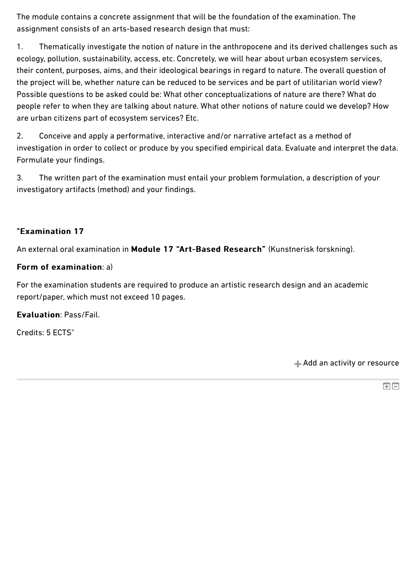The module contains a concrete assignment that will be the foundation of the examination. The assignment consists of an arts-based research design that must:

1. Thematically investigate the notion of nature in the anthropocene and its derived challenges such as ecology, pollution, sustainability, access, etc. Concretely, we will hear about urban ecosystem services, their content, purposes, aims, and their ideological bearings in regard to nature. The overall question of the project will be, whether nature can be reduced to be services and be part of utilitarian world view? Possible questions to be asked could be: What other conceptualizations of nature are there? What do people refer to when they are talking about nature. What other notions of nature could we develop? How are urban citizens part of ecosystem services? Etc.

2. Conceive and apply a performative, interactive and/or narrative artefact as a method of investigation in order to collect or produce by you specified empirical data. Evaluate and interpret the data. Formulate your findings.

3. The written part of the examination must entail your problem formulation, a description of your investigatory artifacts (method) and your findings.

## "Examination 17 "Examination 17

An external oral examination in Module 17 "Art-Based Research" (Kunstnerisk forskning).

## Form of examination:  $a)$

For the examination students are required to produce an artistic research design and an academic report/paper, which must not exceed 10 pages.

## **Evaluation: Pass/Fail.**

Credits: 5 ECTS"

[Add an activity or resource](https://www.moodle.aau.dk/course/view.php?id=22145#)

oo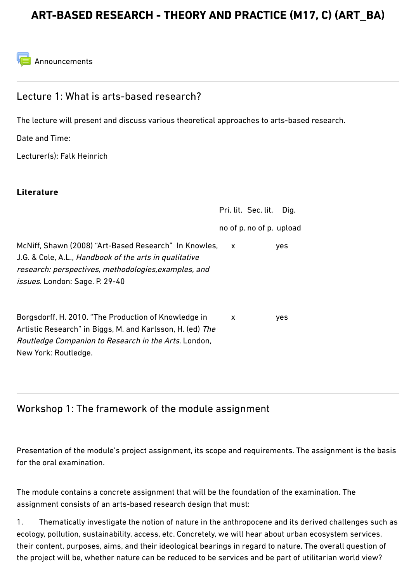# **ART-BASED RESEARCH - THEORY AND PRACTICE (M17, C) (ART\_BA)**

[Announcements](https://www.moodle.aau.dk/mod/forum/view.php?id=624021)

# Lecture 1: What is arts-based research?

The lecture will present and discuss various theoretical approaches to arts-based research.

Date and Time:

Lecturer(s): Falk Heinrich

## Literature

|                                                                                                                                                                                                                  |   | Pri. lit. Sec. lit.<br>Dig. |
|------------------------------------------------------------------------------------------------------------------------------------------------------------------------------------------------------------------|---|-----------------------------|
|                                                                                                                                                                                                                  |   | no of p. no of p. upload    |
| McNiff, Shawn (2008) "Art-Based Research" In Knowles,<br>J.G. & Cole, A.L., Handbook of the arts in qualitative<br>research: perspectives, methodologies, examples, and<br><i>issues.</i> London: Sage. P. 29-40 | X | yes                         |
| Borgsdorff, H. 2010. "The Production of Knowledge in<br>Artistic Research" in Biggs, M. and Karlsson, H. (ed) The<br>Routledge Companion to Research in the Arts. London,<br>New York: Routledge.                | X | yes                         |

Workshop 1: The framework of the module assignment

Presentation of the module's project assignment, its scope and requirements. The assignment is the basis for the oral examination.

The module contains a concrete assignment that will be the foundation of the examination. The assignment consists of an arts-based research design that must:

1. Thematically investigate the notion of nature in the anthropocene and its derived challenges such as ecology, pollution, sustainability, access, etc. Concretely, we will hear about urban ecosystem services, their content, purposes, aims, and their ideological bearings in regard to nature. The overall question of the project will be, whether nature can be reduced to be services and be part of utilitarian world view?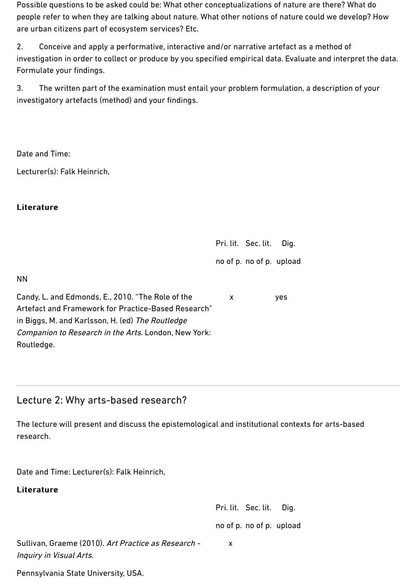Possible questions to be asked could be: What other conceptualizations of nature are there? What do people refer to when they are talking about nature. What other notions of nature could we develop? How are urban citizens part of ecosystem services? Etc.

2. Conceive and apply a performative, interactive and/or narrative artefact as a method of investigation in order to collect or produce by you specified empirical data. Evaluate and interpret the data. Formulate your findings.

3. The written part of the examination must entail your problem formulation, a description of your investigatory artefacts (method) and your findings.

| Date and Time: |  |
|----------------|--|
|----------------|--|

Lecturer(s): Falk Heinrich,

## Literature

|  | Pri. lit. Sec. lit. Dig. |  |
|--|--------------------------|--|
|  | no of p. no of p. upload |  |

NN

| Candy, L. and Edmonds, E., 2010. "The Role of the    | X. | ves |
|------------------------------------------------------|----|-----|
| Artefact and Framework for Practice-Based Research"  |    |     |
| in Biggs, M. and Karlsson, H. (ed) The Routledge     |    |     |
| Companion to Research in the Arts. London, New York: |    |     |
| Routledge.                                           |    |     |

# Lecture 2: Why arts-based research?

The lecture will present and discuss the epistemological and institutional contexts for arts-based research.

Date and Time: Lecturer(s): Falk Heinrich,

## Literature

|                                                                                | Pri. lit. Sec. lit. Dig. |
|--------------------------------------------------------------------------------|--------------------------|
|                                                                                | no of p. no of p. upload |
| Sullivan, Graeme (2010). Art Practice as Research -<br>Inquiry in Visual Arts. |                          |
| Pennsylvania State University, USA.                                            |                          |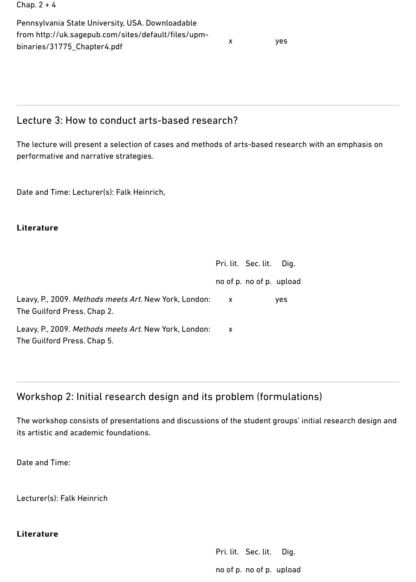Chap.  $2 + 4$ 

Pennsylvania State University, USA. Downloadable from [http://uk.sagepub.com/sites/default/files/upm](http://uk.sagepub.com/sites/default/files/upm-binaries/31775_Chapter4.pdf)[binaries/31775\\_Chapter4.pdf](http://uk.sagepub.com/sites/default/files/upm-binaries/31775_Chapter4.pdf) x yes

# Lecture 3: How to conduct arts-based research?

The lecture will present a selection of cases and methods of arts-based research with an emphasis on performative and narrative strategies.

Date and Time: Lecturer(s): Falk Heinrich,

#### Literature

|                                                                                        |              | Pri. lit. Sec. lit. Dig. |            |
|----------------------------------------------------------------------------------------|--------------|--------------------------|------------|
|                                                                                        |              | no of p. no of p. upload |            |
| Leavy, P., 2009. Methods meets Art. New York, London: x<br>The Guilford Press. Chap 2. |              |                          | <b>ves</b> |
| Leavy, P., 2009. Methods meets Art. New York, London:<br>The Guilford Press. Chap 5.   | $\mathsf{X}$ |                          |            |

# Workshop 2: Initial research design and its problem (formulations)

The workshop consists of presentations and discussions of the student groups' initial research design and its artistic and academic foundations.

Date and Time:

Lecturer(s): Falk Heinrich

#### Literature

Pri. lit. Sec. lit. no of p. no of p. uploadDig.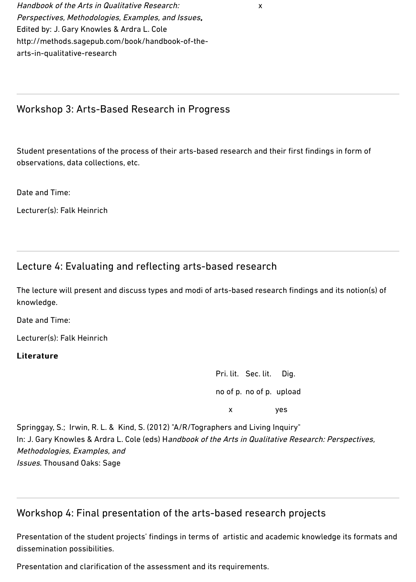Handbook of the Arts in Qualitative Research: Perspectives, Methodologies, Examples, and Issues,, Edited by: J. Gary Knowles & Ardra L. Cole [http://methods.sagepub.com/book/handbook-of-the](http://methods.sagepub.com/book/handbook-of-the-arts-in-qualitative-research)arts-in-qualitative-research

# Workshop 3: Arts-Based Research in Progress

Student presentations of the process of their arts-based research and their first findings in form of observations, data collections, etc.

Date and Time:

Lecturer(s): Falk Heinrich

# Lecture 4: Evaluating and reflecting arts-based research

The lecture will present and discuss types and modi of arts-based research findings and its notion(s) of knowledge.

Date and Time:

Lecturer(s): Falk Heinrich

#### Literature

Pri. lit. Sec. lit. no of p. no of p. upload Dig. x yes

Springgay, S.; Irwin, R. L. & Kind, S. (2012) "A/R/Tographers and Living Inquiry" In: J. Gary Knowles & Ardra L. Cole (eds) Handbook of the Arts in Qualitative Research: Perspectives, Methodologies, Examples, and Issues. Thousand Oaks: Sage

# Workshop 4: Final presentation of the arts-based research projects

Presentation of the student projects' findings in terms of artistic and academic knowledge its formats and dissemination possibilities.

Presentation and clarification of the assessment and its requirements.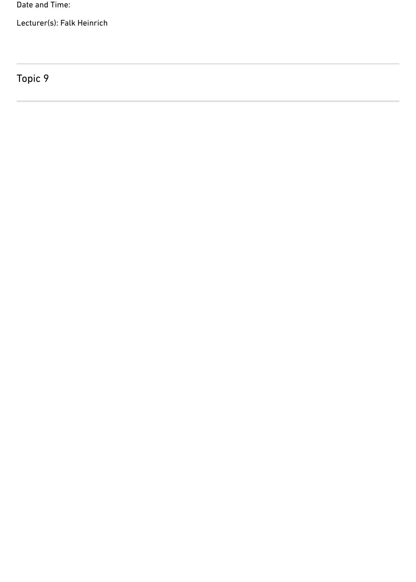Date and Time:

Lecturer(s): Falk Heinrich

Topic 9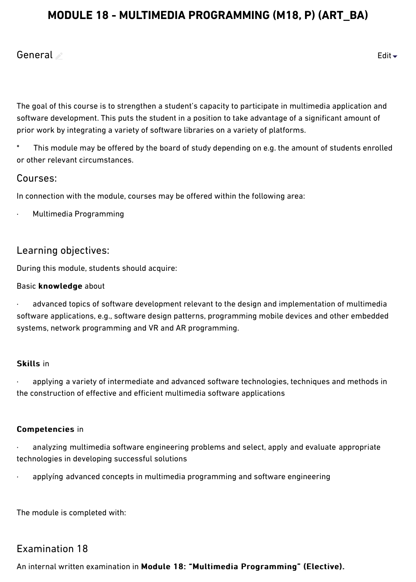# **MODULE 18 - MULTIMEDIA PROGRAMMING (M18, P) (ART\_BA)**

# [General](https://www.moodle.aau.dk/course/view.php?id=22143#)

[Edit](https://www.moodle.aau.dk/course/view.php?id=22143#) $\blacktriangleright$ 

The goal of this course is to strengthen a student's capacity to participate in multimedia application and software development. This puts the student in a position to take advantage of a significant amount of prior work by integrating a variety of software libraries on a variety of platforms.

This module may be offered by the board of study depending on e.g. the amount of students enrolled or other relevant circumstances.

# Courses:

In connection with the module, courses may be offered within the following area:

· Multimedia Programming

# Learning objectives:

During this module, students should acquire:

#### Basic knowledge about

advanced topics of software development relevant to the design and implementation of multimedia software applications, e.g., software design patterns, programming mobile devices and other embedded systems, network programming and VR and AR programming.

#### Skills in

applying a variety of intermediate and advanced software technologies, techniques and methods in the construction of effective and efficient multimedia software applications

## Competencies in

analyzing multimedia software engineering problems and select, apply and evaluate appropriate technologies in developing successful solutions

applying advanced concepts in multimedia programming and software engineering

The module is completed with:

# Examination 18

An internal written examination in Module 18: "Multimedia Programming" (Elective).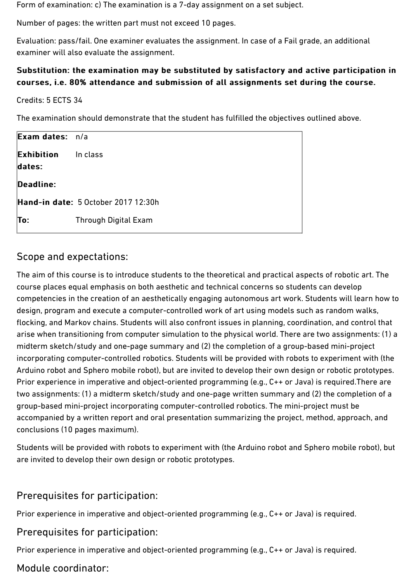Form of examination: c) The examination is a 7-day assignment on a set subject.

Number of pages: the written part must not exceed 10 pages.

Evaluation: pass/fail. One examiner evaluates the assignment. In case of a Fail grade, an additional examiner will also evaluate the assignment.

# Substitution: the examination may be substituted by satisfactory and active participation in courses, i.e. 80% attendance and submission of all assignments set during the course.

Credits: 5 ECTS 34

The examination should demonstrate that the student has fulfilled the objectives outlined above.

| Exam dates: n/a   |                                     |
|-------------------|-------------------------------------|
| <b>Exhibition</b> | In class                            |
| dates:            |                                     |
| Deadline:         |                                     |
|                   | Hand-in date: 5 October 2017 12:30h |
| To:               | <b>Through Digital Exam</b>         |
|                   |                                     |

# Scope and expectations:

The aim of this course is to introduce students to the theoretical and practical aspects of robotic art. The course places equal emphasis on both aesthetic and technical concerns so students can develop competencies in the creation of an aesthetically engaging autonomous art work. Students will learn how to design, program and execute a computer-controlled work of art using models such as random walks, flocking, and Markov chains. Students will also confront issues in planning, coordination, and control that arise when transitioning from computer simulation to the physical world. There are two assignments: (1) a midterm sketch/study and one-page summary and (2) the completion of a group-based mini-project incorporating computer-controlled robotics. Students will be provided with robots to experiment with (the Arduino robot and Sphero mobile robot), but are invited to develop their own design or robotic prototypes. Prior experience in imperative and object-oriented programming (e.g., C++ or Java) is required.There are two assignments: (1) a midterm sketch/study and one-page written summary and (2) the completion of a group-based mini-project incorporating computer-controlled robotics. The mini-project must be accompanied by a written report and oral presentation summarizing the project, method, approach, and conclusions (10 pages maximum).

Students will be provided with robots to experiment with (the Arduino robot and Sphero mobile robot), but are invited to develop their own design or robotic prototypes.

# Prerequisites for participation:

Prior experience in imperative and object-oriented programming (e.g., C++ or Java) is required.

# Prerequisites for participation:

Prior experience in imperative and object-oriented programming (e.g., C++ or Java) is required.

# Module coordinator: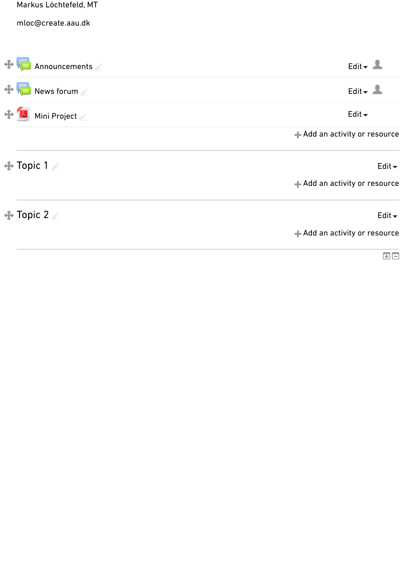|                 | Markus Löchtefeld, MT |                               |
|-----------------|-----------------------|-------------------------------|
|                 | mloc@create.aau.dk    |                               |
|                 |                       |                               |
| $\bf \bm{\div}$ | Announcements         | Edit $\overline{\phantom{a}}$ |
|                 | News forum            | Edit $\sim$ $\blacktriangle$  |
|                 | Mini Project          | Edit $\blacktriangleright$    |
|                 |                       | Add an activity or resource   |
|                 | $\bigoplus$ Topic 1   | Edit $\blacktriangleright$    |
|                 |                       | Add an activity or resource   |
|                 | $\bigoplus$ Topic 2   | Edit $\blacktriangleright$    |
|                 |                       | Add an activity or resource   |
|                 |                       |                               |

 $\overline{\mathbf{C}}$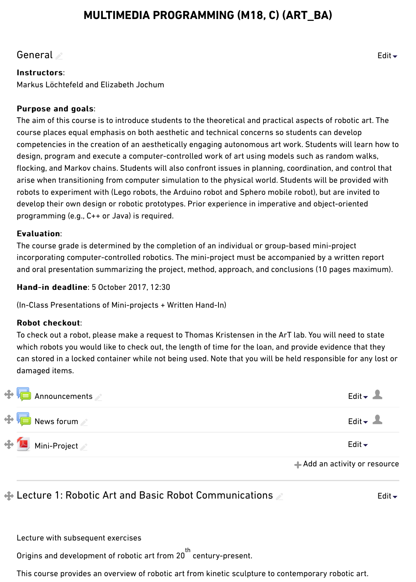# **MULTIMEDIA PROGRAMMING (M18, C) (ART\_BA)**

# [General](https://www.moodle.aau.dk/course/view.php?id=22154#)

#### Instructors:

Markus Löchtefeld and Elizabeth Jochum

## Purpose and goals:

The aim of this course is to introduce students to the theoretical and practical aspects of robotic art. The course places equal emphasis on both aesthetic and technical concerns so students can develop competencies in the creation of an aesthetically engaging autonomous art work. Students will learn how to design, program and execute a computer-controlled work of art using models such as random walks, flocking, and Markov chains. Students will also confront issues in planning, coordination, and control that arise when transitioning from computer simulation to the physical world. Students will be provided with robots to experiment with (Lego robots, the Arduino robot and Sphero mobile robot), but are invited to develop their own design or robotic prototypes. Prior experience in imperative and object-oriented programming (e.g., C++ or Java) is required.

#### Evaluation:

The course grade is determined by the completion of an individual or group-based mini-project incorporating computer-controlled robotics. The mini-project must be accompanied by a written report and oral presentation summarizing the project, method, approach, and conclusions (10 pages maximum).

#### Hand-in deadline: 5 October 2017, 12:30

(In-Class Presentations of Mini-projects + Written Hand-In)

#### Robot checkout:

To check out a robot, please make a request to Thomas Kristensen in the ArT lab. You will need to state which robots you would like to check out, the length of time for the loan, and provide evidence that they can stored in a locked container while not being used. Note that you will be held responsible for any lost or damaged items.

| $\mathbf +$ <b>I</b> Announcements | Edit $\sim$ $\sim$           |
|------------------------------------|------------------------------|
| $\bigoplus$ News forum             | Edit $\sim$ $\blacktriangle$ |
| $\bigoplus$ Mini-Project           | Edit $\blacktriangleright$   |
|                                    | Add an activity or resource  |

 $\bigoplus$  Lecture 1: Robotic Art and Basic Robot Communications

Lecture with subsequent exercises

Origins and development of robotic art from 20" century-present. th

This course provides an overview of robotic art from kinetic sculpture to contemporary robotic art.

[Edit](https://www.moodle.aau.dk/course/view.php?id=22154#) $\blacktriangleright$ 

[Edit](https://www.moodle.aau.dk/course/view.php?id=22154#) $\blacktriangleright$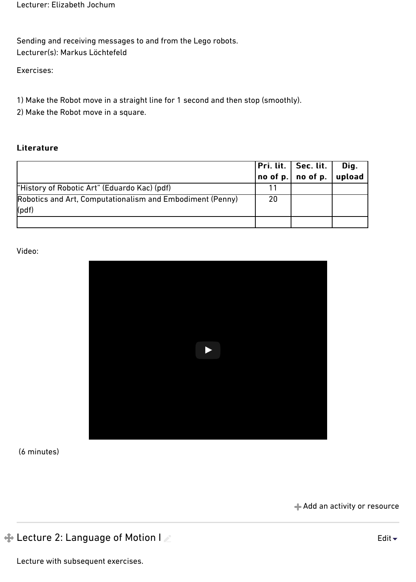Sending and receiving messages to and from the Lego robots. Lecturer(s): Markus Löchtefeld

Exercises:

- 1) Make the Robot move in a straight line for 1 second and then stop (smoothly).
- 2) Make the Robot move in a square.

#### Literature

|                                                           |    | Pri. lit.   Sec. lit.                            | Dig. |
|-----------------------------------------------------------|----|--------------------------------------------------|------|
|                                                           |    | $\vert$ no of p. $\vert$ no of p. $\vert$ upload |      |
| "History of Robotic Art" (Eduardo Kac) (pdf)              | 11 |                                                  |      |
| Robotics and Art, Computationalism and Embodiment (Penny) | 20 |                                                  |      |
| (pdf)                                                     |    |                                                  |      |
|                                                           |    |                                                  |      |

#### Video:



(6 minutes)

[Add an activity or resource](https://www.moodle.aau.dk/course/view.php?id=22154#)

 $\bigoplus$  Lecture 2: Language of Motion I

Lecture with subsequent exercises.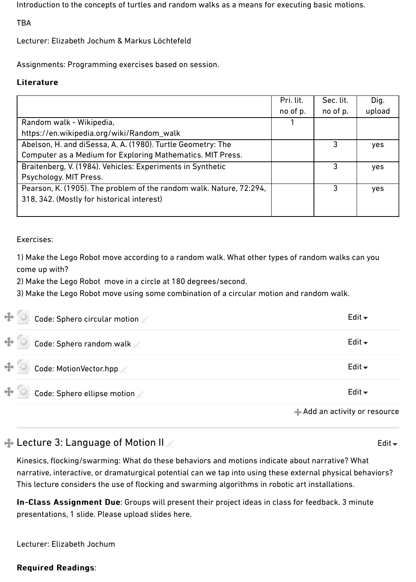Introduction to the concepts of turtles and random walks as a means for executing basic motions.

**TBA** 

Lecturer: Elizabeth Jochum & Markus Löchtefeld

Assignments: Programming exercises based on session.

## Literature

|                                                                     | Pri. lit. | Sec. lit. | Dig.   |
|---------------------------------------------------------------------|-----------|-----------|--------|
|                                                                     | no of p.  | no of p.  | upload |
| Random walk - Wikipedia,                                            |           |           |        |
| https://en.wikipedia.org/wiki/Random_walk                           |           |           |        |
| Abelson, H. and diSessa, A. A. (1980). Turtle Geometry: The         |           | 3         | yes    |
| Computer as a Medium for Exploring Mathematics. MIT Press.          |           |           |        |
| Braitenberg, V. (1984). Vehicles: Experiments in Synthetic          |           | 3         | yes    |
| Psychology. MIT Press.                                              |           |           |        |
| Pearson, K. (1905). The problem of the random walk. Nature, 72:294, |           | 3         | yes    |
| 318, 342. (Mostly for historical interest)                          |           |           |        |
|                                                                     |           |           |        |

Exercises:

1) Make the Lego Robot move according to a random walk. What other types of random walks can you come up with?

2) Make the Lego Robot move in a circle at 180 degrees/second.

3) Make the Lego Robot move using some combination of a circular motion and random walk.

|             |                              | $\triangle$ Add an activity or resource |
|-------------|------------------------------|-----------------------------------------|
| 4           | Code: Sphero ellipse motion  | Edit $\blacktriangleright$              |
| ⊕           | Code: MotionVector.hpp       | Edit $\blacktriangleright$              |
| ←           | Code: Sphero random walk     | Edit $\overline{\phantom{a}}$           |
| $\bigoplus$ | Code: Sphero circular motion | Edit $\overline{\phantom{a}}$           |

# $\bigoplus$  Lecture 3: Language of Motion II

Kinesics, flocking/swarming: What do these behaviors and motions indicate about narrative? What narrative, interactive, or dramaturgical potential can we tap into using these external physical behaviors? This lecture considers the use of flocking and swarming algorithms in robotic art installations.

In-Class Assignment Due: Groups will present their project ideas in class for feedback. 3 minute presentations, 1 slide. Please upload slides here.

Lecturer: Elizabeth Jochum

## **Required Readings:**

[Edit](https://www.moodle.aau.dk/course/view.php?id=22154#)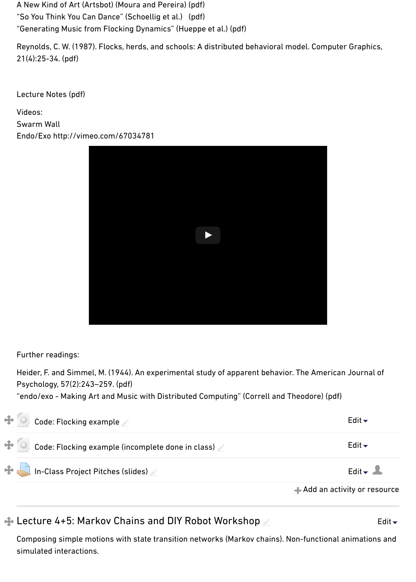A New Kind of Art (Artsbot) (Moura and Pereira) [\(pdf\)](https://www.moodle.aau.dk/pluginfile.php/972480/course/section/339046/809-1105-1-PB.pdf) "So You Think You Can Dance" (Schoellig et al.) [\(pdf](https://www.moodle.aau.dk/pluginfile.php/972480/course/section/339046/Schoellig.SoYouThinkYouCanDance.pdf)) "Generating Music from Flocking Dynamics" (Hueppe et al.) ([pdf](https://www.moodle.aau.dk/pluginfile.php/972480/course/section/339046/Huepe.GeneratingMusicfromFlockingDynamics.pdf))

Reynolds, C. W. (1987). Flocks, herds, and schools: A distributed behavioral model. Computer Graphics, 21(4):25-34. [\(pdf\)](https://www.moodle.aau.dk/pluginfile.php/972480/course/section/339046/Rey87-Flocks.pdf)

Lecture Notes [\(pdf\)](https://www.moodle.aau.dk/pluginfile.php/972480/course/section/339046/MMP.LANGUAGE2.FA16.pdf)

Videos:

[Swarm Wall](http://correll.cs.colorado.edu/?page_id=2361)

[Endo/Exo](http://vimeo.com/67034781) http://vimeo.com/67034781



Further readings:

Heider, F. and Simmel, M. (1944). An experimental study of apparent behavior. The American Journal of Psychology, 57(2):243–259. ([pdf](https://www.moodle.aau.dk/pluginfile.php/972480/course/section/339046/Hei44-Apparent%20Behavior.pdf))

"endo/exo - Making Art and Music with Distributed Computing" (Correll and Theodore) [\(pdf\)](https://www.moodle.aau.dk/pluginfile.php/972480/course/section/339046/endoexo.pdf)

| <b>小 金</b><br>Code: Flocking example                          | Edit $\blacktriangleright$              |
|---------------------------------------------------------------|-----------------------------------------|
| $\bigoplus$ Code: Flocking example (incomplete done in class) | Edit $\blacktriangleright$              |
| In-Class Project Pitches (slides)                             | Edit $\overline{\phantom{a}}$           |
|                                                               | $\triangle$ Add an activity or resource |

 $\triangle$  [Lecture 4+5: Markov Chains and DIY Robot Workshop](https://www.moodle.aau.dk/course/view.php?id=22154#) ∠ [Edit](https://www.moodle.aau.dk/course/view.php?id=22154#)

Composing simple motions with state transition networks (Markov chains). Non-functional animations and simulated interactions.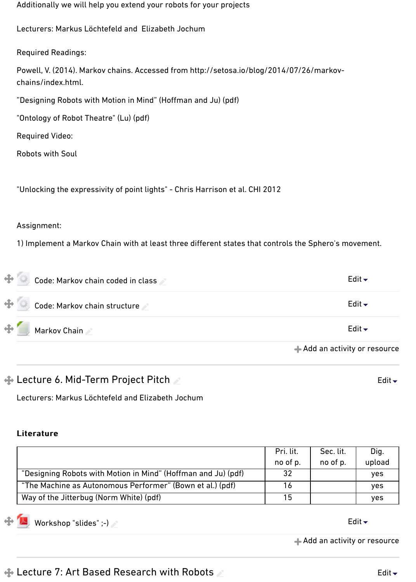Additionally we will help you extend your robots for your projects

Lecturers: Markus Löchtefeld and Elizabeth Jochum

Required Readings:

[Powell, V. \(2014\). Markov chains. Accessed from http://setosa.io/blog/2014/07/26/markov](http://setosa.io/blog/2014/07/26/markov-chains/index.html)chains/index.html.

"Designing Robots with Motion in Mind" (Hoffman and Ju) ([pdf](https://www.moodle.aau.dk/pluginfile.php/972480/course/section/339047/Designing%20robots%20with%20motion%20in%20mind.pdf))

"Ontology of Robot Theatre" (Lu) [\(pdf\)](https://www.moodle.aau.dk/pluginfile.php/972480/course/section/339047/ontology.robottheatre.pdf)

Required Video:

[Robots with Soul](https://www.ted.com/talks/guy_hoffman_robots_with_soul)

"[Unlocking the expressivity of point lights"](http://dl.acm.org/citation.cfm?doid=2207676.2208296) - Chris Harrison et al. CHI 2012

## Assignment:

1) Implement a Markov Chain with at least three different states that controls the Sphero's movement.

| $\bigoplus$ | Code: Markov chain coded in class        | Edit $\blacktriangleright$  |
|-------------|------------------------------------------|-----------------------------|
|             | $\bigoplus$ Code: Markov chain structure | Edit $\blacktriangleright$  |
|             | $\bigoplus$ Markov Chain                 | Edit $\blacktriangleright$  |
|             |                                          | Add an activity or resource |

# **← Lecture 6. Mid-Term Project Pitch**

Lecturers: Markus Löchtefeld and Elizabeth Jochum

## Literature

|                                                               | Pri. lit. | Sec. lit. | Dig.   |
|---------------------------------------------------------------|-----------|-----------|--------|
|                                                               | no of p.  | no of p.  | upload |
| "Designing Robots with Motion in Mind" (Hoffman and Ju) (pdf) | 32        |           | yes    |
| "The Machine as Autonomous Performer" (Bown et al.) (pdf)     | 16        |           | yes    |
| Way of the Jitterbug (Norm White) (pdf)                       | 15        |           | yes    |

 $\bigoplus_{k=1}^{\infty} \mathbb{Z}^k$  [Workshop "slides" ;-\)](https://www.moodle.aau.dk/mod/resource/view.php?id=651006)  $\bigotimes$ 

[Add an activity or resource](https://www.moodle.aau.dk/course/view.php?id=22154#)

♦ Lecture 7: Art Based Research with Robots <a>
Edit</a>
Edit</a>
Edit</a>
Edit</a>
Edit</a>
Edit</a>
Edit</a>
Edit</a>
Edit</a>
Edit</a>
Edit</a>
Edit</a>
Edit</a>
Edit</a>
Edit</a>
Edit</a>
Edit</a>
Edit</a>
Edit</a>
Ed

[Edit](https://www.moodle.aau.dk/course/view.php?id=22154#)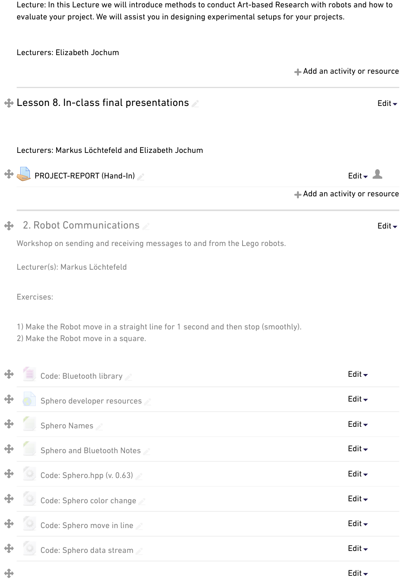Lecture: In this Lecture we will introduce methods to conduct Art-based Research with robots and how to evaluate your project. We will assist you in designing experimental setups for your projects.

| Lecturers: Elizabeth Jochum                                                                                             |                                         |
|-------------------------------------------------------------------------------------------------------------------------|-----------------------------------------|
|                                                                                                                         | $\triangle$ Add an activity or resource |
| $\bigoplus$ Lesson 8. In-class final presentations $\geq$                                                               | Edit $\blacktriangleright$              |
| Lecturers: Markus Löchtefeld and Elizabeth Jochum                                                                       |                                         |
| PROJECT-REPORT (Hand-In)                                                                                                | Edit $\sim$ $\sim$                      |
|                                                                                                                         | Add an activity or resource             |
| 2. Robot Communications<br>⊕                                                                                            | Edit $\overline{\phantom{a}}$           |
| Workshop on sending and receiving messages to and from the Lego robots.                                                 |                                         |
| Lecturer(s): Markus Löchtefeld                                                                                          |                                         |
| Exercises:                                                                                                              |                                         |
| 1) Make the Robot move in a straight line for 1 second and then stop (smoothly).<br>2) Make the Robot move in a square. |                                         |
| Code: Bluetooth library                                                                                                 | Edit $\blacktriangleright$              |
| Sphero developer resources                                                                                              | Edit $\blacktriangleright$              |
| Sphero Names                                                                                                            | Edit $\blacktriangleright$              |
| Sphero and Bluetooth Notes                                                                                              | Edit $\blacktriangleright$              |
| Code: Sphero.hpp (v. 0.63)                                                                                              | Edit $\blacktriangleright$              |
| Code: Sphero color change                                                                                               | Edit $\blacktriangleright$              |
| Code: Sphero move in line                                                                                               | Edit $\blacktriangleright$              |
| Code: Sphero data stream                                                                                                | Edit $\blacktriangleright$              |
| 企                                                                                                                       | Edit $\overline{\phantom{a}}$           |